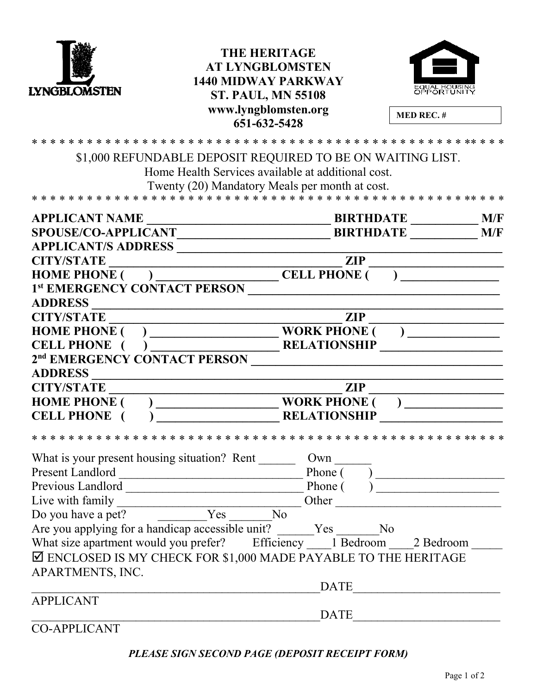

## **THE HERITAGE AT LYNGBLOMSTEN 1440 MIDWAY PARKWAY ST. PAUL, MN 55108 www.lyngblomsten.org 651-632-5428**



**MED REC. #**

| \$1,000 REFUNDABLE DEPOSIT REQUIRED TO BE ON WAITING LIST.                |                                                                                                                                 |
|---------------------------------------------------------------------------|---------------------------------------------------------------------------------------------------------------------------------|
| Home Health Services available at additional cost.                        |                                                                                                                                 |
| Twenty (20) Mandatory Meals per month at cost.                            |                                                                                                                                 |
|                                                                           |                                                                                                                                 |
| <b>APPLICANT NAME</b>                                                     | <b>BIRTHDATE</b><br>M/F                                                                                                         |
| <b>SPOUSE/CO-APPLICANT</b>                                                | <b>BIRTHDATE</b><br>M/F                                                                                                         |
| <b>APPLICANT/S ADDRESS</b>                                                |                                                                                                                                 |
| <b>CITY/STATE</b>                                                         | <b>ZIP</b>                                                                                                                      |
| (CELL PHONE<br><b>HOME PHONE (</b>                                        | ) and the set of $\mathcal{L}$ and $\mathcal{L}$ and $\mathcal{L}$                                                              |
| 1st EMERGENCY CONTACT PERSON                                              |                                                                                                                                 |
| <b>ADDRESS</b>                                                            |                                                                                                                                 |
| <b>CITY/STATE</b>                                                         | <b>ZIP</b>                                                                                                                      |
| <b>HOME PHONE (</b>                                                       | <b>WORK PHONE (</b>                                                                                                             |
| <b>CELL PHONE</b>                                                         | <b>RELATIONSHIP</b>                                                                                                             |
| 2 <sup>nd</sup> EMERGENCY CONTACT PERSON                                  |                                                                                                                                 |
| <b>ADDRESS</b>                                                            |                                                                                                                                 |
| <b>CITY/STATE</b>                                                         | <b>ZIP</b>                                                                                                                      |
| <b>HOME PHONE</b>                                                         | <b>WORK PHONE (</b>                                                                                                             |
| <b>CELL PHONE</b>                                                         | <b>RELATIONSHIP</b>                                                                                                             |
| * * * * * * * * * * *<br>* * * * *                                        | * * * * * * * * * * *                                                                                                           |
| What is your present housing situation? Rent                              | Own                                                                                                                             |
| Present Landlord                                                          | Phone (                                                                                                                         |
| Previous Landlord                                                         | Phone (<br><u> 2000 - 2000 - 2000 - 2000 - 2000 - 2000 - 2000 - 2000 - 2000 - 2000 - 2000 - 2000 - 2000 - 2000 - 2000 - 200</u> |
| Live with family                                                          | Other<br><u> 1980 - Jan Barnett, fransk politik (d. 1980)</u>                                                                   |
| Yes<br>Do you have a pet?                                                 | N <sub>o</sub>                                                                                                                  |
| Are you applying for a handicap accessible unit? Yes                      | No                                                                                                                              |
| What size apartment would you prefer? Efficiency 1 Bedroom 2 Bedroom      |                                                                                                                                 |
| $\boxtimes$ ENCLOSED IS MY CHECK FOR \$1,000 MADE PAYABLE TO THE HERITAGE |                                                                                                                                 |
| APARTMENTS, INC.                                                          |                                                                                                                                 |
|                                                                           | <b>DATE</b>                                                                                                                     |
| <b>APPLICANT</b>                                                          |                                                                                                                                 |
|                                                                           | DATE                                                                                                                            |
|                                                                           |                                                                                                                                 |

CO-APPLICANT

*PLEASE SIGN SECOND PAGE (DEPOSIT RECEIPT FORM)*